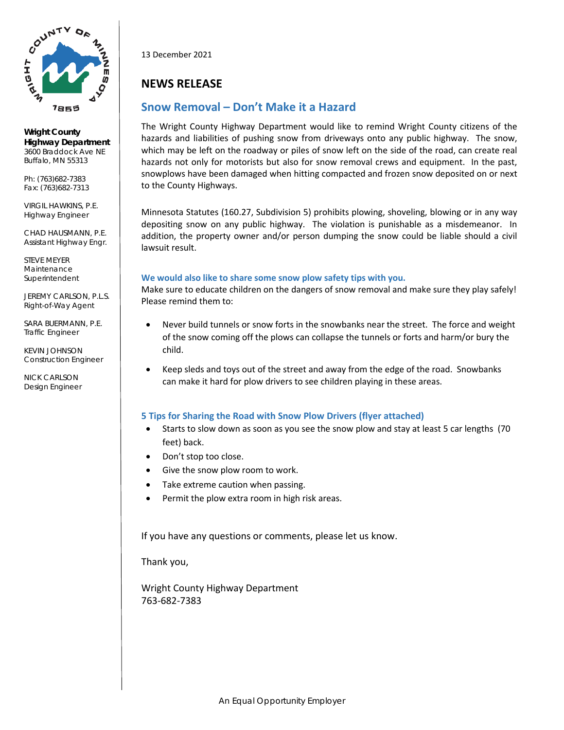

**Wright County Highway Department** 3600 Braddock Ave NE Buffalo, MN 55313

Ph: (763)682-7383 Fax: (763)682-7313

VIRGIL HAWKINS, P.E. Highway Engineer

CHAD HAUSMANN, P.E. Assistant Highway Engr.

STEVE MEYER Maintenance Superintendent

JEREMY CARLSON, P.L.S. Right-of-Way Agent

SARA BUERMANN, P.E. Traffic Engineer

KEVIN JOHNSON Construction Engineer

NICK CARLSON Design Engineer 13 December 2021

## **NEWS RELEASE**

### **Snow Removal – Don't Make it a Hazard**

The Wright County Highway Department would like to remind Wright County citizens of the hazards and liabilities of pushing snow from driveways onto any public highway. The snow, which may be left on the roadway or piles of snow left on the side of the road, can create real hazards not only for motorists but also for snow removal crews and equipment. In the past, snowplows have been damaged when hitting compacted and frozen snow deposited on or next to the County Highways.

Minnesota Statutes (160.27, Subdivision 5) prohibits plowing, shoveling, blowing or in any way depositing snow on any public highway. The violation is punishable as a misdemeanor. In addition, the property owner and/or person dumping the snow could be liable should a civil lawsuit result.

#### **We would also like to share some snow plow safety tips with you.**

Make sure to educate children on the dangers of snow removal and make sure they play safely! Please remind them to:

- Never build tunnels or snow forts in the snowbanks near the street. The force and weight of the snow coming off the plows can collapse the tunnels or forts and harm/or bury the child.
- Keep sleds and toys out of the street and away from the edge of the road. Snowbanks can make it hard for plow drivers to see children playing in these areas.

#### **5 Tips for Sharing the Road with Snow Plow Drivers (flyer attached)**

- Starts to slow down as soon as you see the snow plow and stay at least 5 car lengths (70 feet) back.
- Don't stop too close.
- Give the snow plow room to work.
- Take extreme caution when passing.
- Permit the plow extra room in high risk areas.

If you have any questions or comments, please let us know.

Thank you,

Wright County Highway Department 763-682-7383